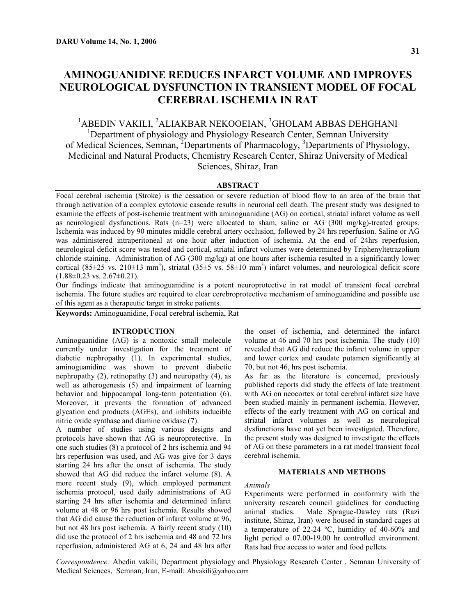# **AMINOGUANIDINE REDUCES INFARCT VOLUME AND IMPROVES NEUROLOGICAL DYSFUNCTION IN TRANSIENT MODEL OF FOCAL CEREBRAL ISCHEMIA IN RAT**

<sup>1</sup>ABEDIN VAKILI, <sup>2</sup>ALIAKBAR NEKOOEIAN, <sup>3</sup>GHOLAM ABBAS DEHGHANI <sup>1</sup>Department of physiology and Physiology Research Center, Semnan University of Medical Sciences, Semnan, <sup>2</sup>Departments of Pharmacology, <sup>3</sup>Departments of Physiology, Medicinal and Natural Products, Chemistry Research Center, Shiraz University of Medical Sciences, Shiraz, Iran

### **ABSTRACT**

Focal cerebral ischemia (Stroke) is the cessation or severe reduction of blood flow to an area of the brain that through activation of a complex cytotoxic cascade results in neuronal cell death. The present study was designed to examine the effects of post-ischemic treatment with aminoguanidine (AG) on cortical, striatal infarct volume as well as neurological dysfunctions. Rats  $(n=23)$  were allocated to sham, saline or AG (300 mg/kg)-treated groups. Ischemia was induced by 90 minutes middle cerebral artery occlusion, followed by 24 hrs reperfusion. Saline or AG was administered intraperitoneal at one hour after induction of ischemia. At the end of 24hrs reperfusion, neurological deficit score was tested and cortical, striatal infarct volumes were determined by Triphenyltetrazolium chloride staining. Administration of AG (300 mg/kg) at one hours after ischemia resulted in a significantly lower cortical  $(85\pm25 \text{ vs. } 210\pm13 \text{ mm}^3)$ , striatal  $(35\pm5 \text{ vs. } 58\pm10 \text{ mm}^3)$  infarct volumes, and neurological deficit score  $(1.88\pm0.23 \text{ vs. } 2.67\pm0.21).$ 

Our findings indicate that aminoguanidine is a potent neuroprotective in rat model of transient focal cerebral ischemia. The future studies are required to clear cerebroprotective mechanism of aminoguanidine and possible use of this agent as a therapeutic target in stroke patients.

**Keywords:** Aminoguanidine, Focal cerebral ischemia, Rat

#### **INTRODUCTION**

Aminoguanidine (AG) is a nontoxic small molecule currently under investigation for the treatment of diabetic nephropathy (1). In experimental studies, aminoguanidine was shown to prevent diabetic nephropathy (2), retinopathy (3) and neuropathy (4), as well as atherogenesis (5) and impairment of learning behavior and hippocampal long-term potentiation (6). Moreover, it prevents the formation of advanced glycation end products (AGEs), and inhibits inducible nitric oxide synthase and diamine oxidase (7).

A number of studies using various designs and protocols have shown that AG is neuroprotective. In one such studies (8) a protocol of 2 hrs ischemia and 94 hrs reperfusion was used, and AG was give for 3 days starting 24 hrs after the onset of ischemia. The study showed that AG did reduce the infarct volume (8). A more recent study (9), which employed permanent ischemia protocol, used daily administrations of AG starting 24 hrs after ischemia and determined infarct volume at 48 or 96 hrs post ischemia. Results showed that AG did cause the reduction of infarct volume at 96, but not 48 hrs post ischemia. A fairly recent study (10) did use the protocol of 2 hrs ischemia and 48 and 72 hrs reperfusion, administered AG at 6, 24 and 48 hrs after

the onset of ischemia, and determined the infarct volume at 46 and 70 hrs post ischemia. The study (10) revealed that AG did reduce the infarct volume in upper and lower cortex and caudate putamen significantly at 70, but not 46, hrs post ischemia.

As far as the literature is concerned, previously published reports did study the effects of late treatment with AG on neocortex or total cerebral infarct size have been studied mainly in permanent ischemia. However, effects of the early treatment with AG on cortical and striatal infarct volumes as well as neurological dysfunctions have not yet been investigated. Therefore, the present study was designed to investigate the effects of AG on these parameters in a rat model transient focal cerebral ischemia.

### **MATERIALS AND METHODS**

#### *Animals*

Experiments were performed in conformity with the university research council guidelines for conducting animal studies. Male Sprague-Dawley rats (Razi institute, Shiraz, Iran) were housed in standard cages at a temperature of 22-24 ºC, humidity of 40-60% and light period o 07.00-19.00 hr controlled environment. Rats had free access to water and food pellets.

*Correspondence:* Abedin vakili, Department physiology and Physiology Research Center , Semnan University of Medical Sciences, Semnan, Iran, E-mail: [Abvakili@yahoo.com](mailto:Abvakili@yahoo.com)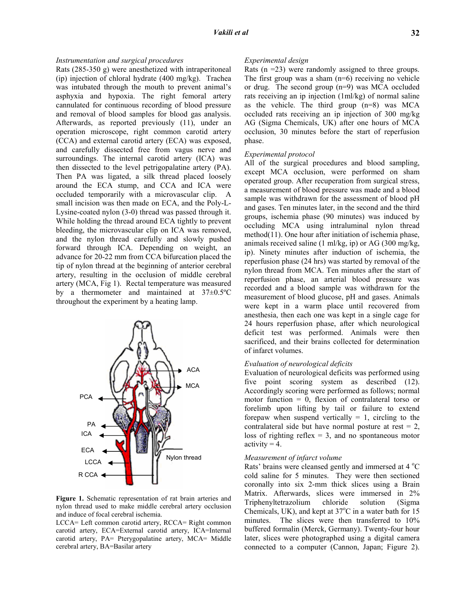### *Instrumentation and surgical procedures*

Rats (285-350 g) were anesthetized with intraperitoneal (ip) injection of chloral hydrate (400 mg/kg). Trachea was intubated through the mouth to prevent animal's asphyxia and hypoxia. The right femoral artery cannulated for continuous recording of blood pressure and removal of blood samples for blood gas analysis. Afterwards, as reported previously (11), under an operation microscope, right common carotid artery (CCA) and external carotid artery (ECA) was exposed, and carefully dissected free from vagus nerve and surroundings. The internal carotid artery (ICA) was then dissected to the level petrigopalatine artery (PA). Then PA was ligated, a silk thread placed loosely around the ECA stump, and CCA and ICA were occluded temporarily with a microvascular clip. A small incision was then made on ECA, and the Poly-L-Lysine-coated nylon (3-0) thread was passed through it. While holding the thread around ECA tightly to prevent bleeding, the microvascular clip on ICA was removed, and the nylon thread carefully and slowly pushed forward through ICA. Depending on weight, an advance for 20-22 mm from CCA bifurcation placed the tip of nylon thread at the beginning of anterior cerebral artery, resulting in the occlusion of middle cerebral artery (MCA, Fig 1). Rectal temperature was measured by a thermometer and maintained at 37±0.5ºC throughout the experiment by a heating lamp.



**Figure 1.** Schematic representation of rat brain arteries and nylon thread used to make middle cerebral artery occlusion and induce of focal cerebral ischemia.

LCCA= Left common carotid artery, RCCA= Right common carotid artery, ECA=External carotid artery, ICA=Internal carotid artery, PA= Pterygopalatine artery, MCA= Middle cerebral artery, BA=Basilar artery

# *Experimental design*

Rats  $(n = 23)$  were randomly assigned to three groups. The first group was a sham (n=6) receiving no vehicle or drug. The second group (n=9) was MCA occluded rats receiving an ip injection (1ml/kg) of normal saline as the vehicle. The third group (n=8) was MCA occluded rats receiving an ip injection of 300 mg/kg AG (Sigma Chemicals, UK) after one hours of MCA occlusion, 30 minutes before the start of reperfusion phase.

#### *Experimental protocol*

All of the surgical procedures and blood sampling, except MCA occlusion, were performed on sham operated group. After recuperation from surgical stress, a measurement of blood pressure was made and a blood sample was withdrawn for the assessment of blood pH and gases. Ten minutes later, in the second and the third groups, ischemia phase (90 minutes) was induced by occluding MCA using intraluminal nylon thread method(11). One hour after initiation of ischemia phase, animals received saline (1 ml/kg, ip) or AG (300 mg/kg, ip). Ninety minutes after induction of ischemia, the reperfusion phase (24 hrs) was started by removal of the nylon thread from MCA. Ten minutes after the start of reperfusion phase, an arterial blood pressure was recorded and a blood sample was withdrawn for the measurement of blood glucose, pH and gases. Animals were kept in a warm place until recovered from anesthesia, then each one was kept in a single cage for 24 hours reperfusion phase, after which neurological deficit test was performed. Animals were then sacrificed, and their brains collected for determination of infarct volumes.

# *Evaluation of neurological deficits*

Evaluation of neurological deficits was performed using five point scoring system as described (12). Accordingly scoring were performed as follows; normal motor function  $= 0$ , flexion of contralateral torso or forelimb upon lifting by tail or failure to extend forepaw when suspend vertically  $= 1$ , circling to the contralateral side but have normal posture at rest  $= 2$ , loss of righting reflex  $= 3$ , and no spontaneous motor  $\text{activity} = 4.$ 

#### *Measurement of infarct volume*

Rats' brains were cleansed gently and immersed at 4 °C cold saline for 5 minutes. They were then sectioned coronally into six 2-mm thick slices using a Brain Matrix. Afterwards, slices were immersed in 2% Triphenyltetrazolium chloride solution (Sigma Chemicals, UK), and kept at  $37^{\circ}$ C in a water bath for 15 minutes. The slices were then transferred to 10% buffered formalin (Merck, Germany). Twenty-four hour later, slices were photographed using a digital camera connected to a computer (Cannon, Japan; Figure 2).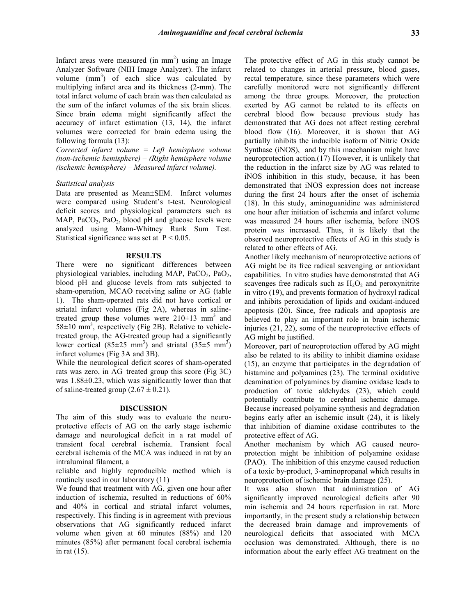Infarct areas were measured (in  $mm<sup>2</sup>$ ) using an Image Analyzer Software (NIH Image Analyzer). The infarct volume  $(mm<sup>3</sup>)$  of each slice was calculated by multiplying infarct area and its thickness (2-mm). The total infarct volume of each brain was then calculated as the sum of the infarct volumes of the six brain slices. Since brain edema might significantly affect the accuracy of infarct estimation (13, 14), the infarct volumes were corrected for brain edema using the following formula (13):

*Corrected infarct volume = Left hemisphere volume (non-ischemic hemisphere) – (Right hemisphere volume (ischemic hemisphere) – Measured infarct volume).* 

## *Statistical analysis*

Data are presented as Mean±SEM. Infarct volumes were compared using Student's t-test. Neurological deficit scores and physiological parameters such as MAP,  $PaCO<sub>2</sub>$ ,  $PaO<sub>2</sub>$ , blood pH and glucose levels were analyzed using Mann-Whitney Rank Sum Test. Statistical significance was set at  $P < 0.05$ .

#### **RESULTS**

There were no significant differences between physiological variables, including MAP,  $PaCO<sub>2</sub>$ ,  $PaO<sub>2</sub>$ , blood pH and glucose levels from rats subjected to sham-operation, MCAO receiving saline or AG (table 1). The sham-operated rats did not have cortical or striatal infarct volumes (Fig 2A), whereas in salinetreated group these volumes were  $210\pm13$  mm<sup>3</sup> and  $58\pm10$  mm<sup>3</sup>, respectively (Fig 2B). Relative to vehicletreated group, the AG-treated group had a significantly lower cortical (85 $\pm$ 25 mm<sup>3</sup>) and striatal (35 $\pm$ 5 mm<sup>3</sup>) infarct volumes (Fig 3A and 3B).

While the neurological deficit scores of sham-operated rats was zero, in AG–treated group this score (Fig 3C) was 1.88±0.23, which was significantly lower than that of saline-treated group  $(2.67 \pm 0.21)$ .

#### **DISCUSSION**

The aim of this study was to evaluate the neuroprotective effects of AG on the early stage ischemic damage and neurological deficit in a rat model of transient focal cerebral ischemia. Transient focal cerebral ischemia of the MCA was induced in rat by an intraluminal filament, a

reliable and highly reproducible method which is routinely used in our laboratory (11)

We found that treatment with AG, given one hour after induction of ischemia, resulted in reductions of 60% and 40% in cortical and striatal infarct volumes, respectively. This finding is in agreement with previous observations that AG significantly reduced infarct volume when given at 60 minutes (88%) and 120 minutes (85%) after permanent focal cerebral ischemia in rat (15).

The protective effect of AG in this study cannot be related to changes in arterial pressure, blood gases, rectal temperature, since these parameters which were carefully monitored were not significantly different among the three groups. Moreover, the protection exerted by AG cannot be related to its effects on cerebral blood flow because previous study has demonstrated that AG does not affect resting cerebral blood flow (16). Moreover, it is shown that AG partially inhibits the inducible isoform of Nitric Oxide Synthase (iNOS), and by this maechanism might have neuroprotection action.(17) However, it is unlikely that the reduction in the infarct size by AG was related to iNOS inhibition in this study, because, it has been demonstrated that iNOS expression does not increase during the first 24 hours after the onset of ischemia (18). In this study, aminoguanidine was administered one hour after initiation of ischemia and infarct volume was measured 24 hours after ischemia, before iNOS protein was increased. Thus, it is likely that the observed neuroprotective effects of AG in this study is related to other effects of AG.

Another likely mechanism of neuroprotective actions of AG might be its free radical scavenging or antioxidant capabilities. In vitro studies have demonstrated that AG scavenges free radicals such as  $H_2O_2$  and peroxynitrite in vitro (19), and prevents formation of hydroxyl radical and inhibits peroxidation of lipids and oxidant-induced apoptosis (20). Since, free radicals and apoptosis are believed to play an important role in brain ischemic injuries (21, 22), some of the neuroprotective effects of AG might be justified.

Moreover, part of neuroprotection offered by AG might also be related to its ability to inhibit diamine oxidase (15), an enzyme that participates in the degradation of histamine and polyamines (23). The terminal oxidative deamination of polyamines by diamine oxidase leads to production of toxic aldehydes (23), which could potentially contribute to cerebral ischemic damage. Because increased polyamine synthesis and degradation begins early after an ischemic insult (24), it is likely that inhibition of diamine oxidase contributes to the protective effect of AG.

Another mechanism by which AG caused neuroprotection might be inhibition of polyamine oxidase (PAO). The inhibition of this enzyme caused reduction of a toxic by-product, 3-aminopropanal which results in neuroprotection of ischemic brain damage (25).

It was also shown that administration of AG significantly improved neurological deficits after 90 min ischemia and 24 hours reperfusion in rat. More importantly, in the present study a relationship between the decreased brain damage and improvements of neurological deficits that associated with MCA occlusion was demonstrated. Although, there is no information about the early effect AG treatment on the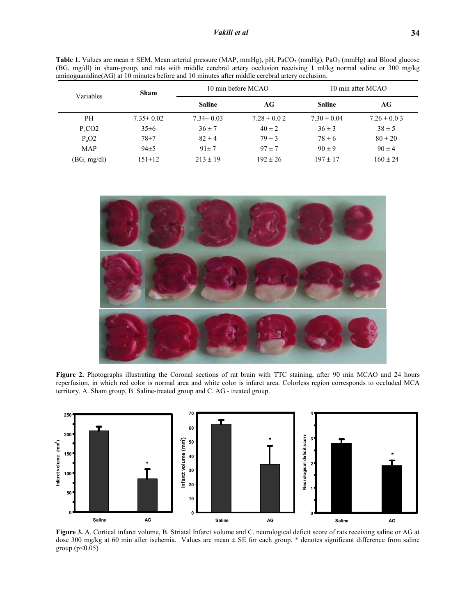| Variables   | <b>Sham</b>     | 10 min before MCAO |                 | 10 min after MCAO |                 |
|-------------|-----------------|--------------------|-----------------|-------------------|-----------------|
|             |                 | <b>Saline</b>      | AG              | <b>Saline</b>     | AG              |
| <b>PH</b>   | $7.35 \pm 0.02$ | $7.34 \pm 0.03$    | $7.28 \pm 0.02$ | $7.30 \pm 0.04$   | $7.26 \pm 0.03$ |
| $P_aCO2$    | $35 \pm 6$      | $36 \pm 7$         | $40 \pm 2$      | $36 \pm 3$        | $38 \pm 5$      |
| $P_aO2$     | $78 + 7$        | $82 \pm 4$         | $79 \pm 3$      | $78 \pm 6$        | $80 \pm 20$     |
| MAP         | $94\pm 5$       | $91 \pm 7$         | $97 \pm 7$      | $90 \pm 9$        | $90 \pm 4$      |
| (BG, mg/dl) | $151 \pm 12$    | $213 \pm 19$       | $192 \pm 26$    | $197 \pm 17$      | $160 \pm 24$    |

Table 1. Values are mean  $\pm$  SEM. Mean arterial pressure (MAP, mmHg), pH, PaCO<sub>2</sub> (mmHg), PaO<sub>2</sub> (mmHg) and Blood glucose (BG, mg/dl) in sham-group, and rats with middle cerebral artery occlusion receiving 1 ml/kg normal saline or 300 mg/kg aminoguanidine(AG) at 10 minutes before and 10 minutes after middle cerebral artery occlusion.



**Figure 2.** Photographs illustrating the Coronal sections of rat brain with TTC staining, after 90 min MCAO and 24 hours reperfusion, in which red color is normal area and white color is infarct area. Colorless region corresponds to occluded MCA territory. A. Sham group, B. Saline-treated group and C. AG - treated group.



**Figure 3.** A. Cortical infarct volume, B. Striatal Infarct volume and C. neurological deficit score of rats receiving saline or AG at dose 300 mg/kg at 60 min after ischemia. Values are mean ± SE for each group. \* denotes significant difference from saline group  $(p<0.05)$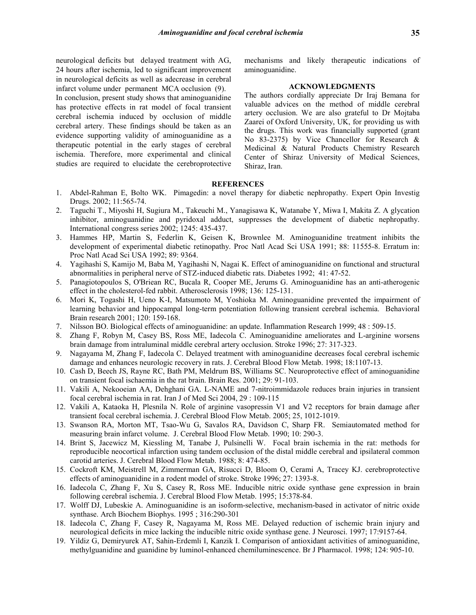neurological deficits but delayed treatment with AG, 24 hours after ischemia, led to significant improvement in neurological deficits as well as adecrease in cerebral infarct volume under permanent MCA occlusion (9).

In conclusion, present study shows that aminoguanidine has protective effects in rat model of focal transient cerebral ischemia induced by occlusion of middle cerebral artery. These findings should be taken as an evidence supporting validity of aminoguanidine as a therapeutic potential in the early stages of cerebral ischemia. Therefore, more experimental and clinical studies are required to elucidate the cerebroprotective mechanisms and likely therapeutic indications of aminoguanidine.

## **ACKNOWLEDGMENTS**

The authors cordially appreciate Dr Iraj Bemana for valuable advices on the method of middle cerebral artery occlusion. We are also grateful to Dr Mojtaba Zaarei of Oxford University, UK, for providing us with the drugs. This work was financially supported (grant No 83-2375) by Vice Chancellor for Research & Medicinal & Natural Products Chemistry Research Center of Shiraz University of Medical Sciences, Shiraz, Iran.

# **REFERENCES**

- 1. [Abdel-Rahman E, Bolto WK. Pimagedin: a novel the](mailto:Abvakili@yahoo.com)rapy for diabetic nephropathy. Expert Opin Investig Drugs. 2002; 11:565-74.
- 2. Taguchi T., Miyoshi H, Sugiura M., Takeuchi M., Yanagisawa K, Watanabe Y, Miwa I, Makita Z. A glycation inhibitor, aminoguanidine and pyridoxal adduct, suppresses the development of diabetic nephropathy. International congress series 2002; 1245: 435-437.
- 3. Hammes HP, Martin S, Federlin K, Geisen K, Brownlee M. Aminoguanidine treatment inhibits the development of experimental diabetic retinopathy. Proc Natl Acad Sci USA 1991; 88: 11555-8. Erratum in: Proc Natl Acad Sci USA 1992; 89: 9364.
- 4. Yagihashi S, Kamijo M, Baba M, Yagihashi N, Nagai K. Effect of aminoguanidine on functional and structural abnormalities in peripheral nerve of STZ-induced diabetic rats. Diabetes 1992; 41: 47-52.
- 5. Panagiotopoulos S, O'Briean RC, Bucala R, Cooper ME, Jerums G. Aminoguanidine has an anti-atherogenic effect in the cholesterol-fed rabbit. Atherosclerosis 1998; 136: 125-131.
- 6. Mori K, Togashi H, Ueno K-I, Matsumoto M, Yoshioka M. Aminoguanidine prevented the impairment of learning behavior and hippocampal long-term potentiation following transient cerebral ischemia. Behavioral Brain research 2001; 120: 159-168.
- 7. Nilsson BO. Biological effects of aminoguanidine: an update. Inflammation Research 1999; 48 : 509-15.
- 8. Zhang F, Robyn M, Casey BS, Ross ME, Iadecola C. Aminoguanidine ameliorates and L-arginine worsens brain damage from intraluminal middle cerebral artery occlusion. Stroke 1996; 27: 317-323.
- 9. Nagayama M, Zhang F, Iadecola C. Delayed treatment with aminoguanidine decreases focal cerebral ischemic damage and enhances neurologic recovery in rats. J. Cerebral Blood Flow Metab. 1998; 18:1107-13.
- 10. Cash D, Beech JS, Rayne RC, Bath PM, Meldrum BS, Williams SC. Neuroprotective effect of aminoguanidine on transient focal ischaemia in the rat brain. Brain Res. 2001; 29: 91-103.
- 11. Vakili A, Nekooeian AA, Dehghani GA. L-NAME and 7-nitroimmidazole reduces brain injuries in transient focal cerebral ischemia in rat. Iran J of Med Sci 2004, 29 : 109-115
- 12. Vakili A, Kataoka H, Plesnila N. Role of arginine vasopressin V1 and V2 receptors for brain damage after transient focal cerebral ischemia. J. Cerebral Blood Flow Metab. 2005; 25, 1012-1019.
- 13. Swanson RA, Morton MT, Tsao-Wu G, Savalos RA, Davidson C, Sharp FR. Semiautomated method for measuring brain infarct volume. J. Cerebral Blood Flow Metab. 1990; 10: 290-3.
- 14. Brint S, Jacewicz M, Kiessling M, Tanabe J, Pulsinelli W. Focal brain ischemia in the rat: methods for reproducible neocortical infarction using tandem occlusion of the distal middle cerebral and ipsilateral common carotid arteries. J. Cerebral Blood Flow Metab. 1988; 8: 474-85.
- 15. Cockroft KM, Meistrell M, Zimmerman GA, Risucci D, Bloom O, Cerami A, Tracey KJ. cerebroprotective effects of aminoguanidine in a rodent model of stroke. Stroke 1996; 27: 1393-8.
- 16. Iadecola C, Zhang F, Xu S, Casey R, Ross ME. Inducible nitric oxide synthase gene expression in brain following cerebral ischemia. J. Cerebral Blood Flow Metab. 1995; 15:378-84.
- 17. Wolff DJ, Lubeskie A. Aminoguanidine is an isoform-selective, mechanism-based in activator of nitric oxide synthase. Arch Biochem Biophys. 1995 ; 316:290-301
- 18. Iadecola C, Zhang F, Casey R, Nagayama M, Ross ME. Delayed reduction of ischemic brain injury and neurological deficits in mice lacking the inducible nitric oxide synthase gene. J Neurosci. 1997; 17:9157-64.
- 19. Yildiz G, Demiryurek AT, Sahin-Erdemli I, Kanzik I. Comparison of antioxidant activities of aminoguanidine, methylguanidine and guanidine by luminol-enhanced chemiluminescence. Br J Pharmacol. 1998; 124: 905-10.